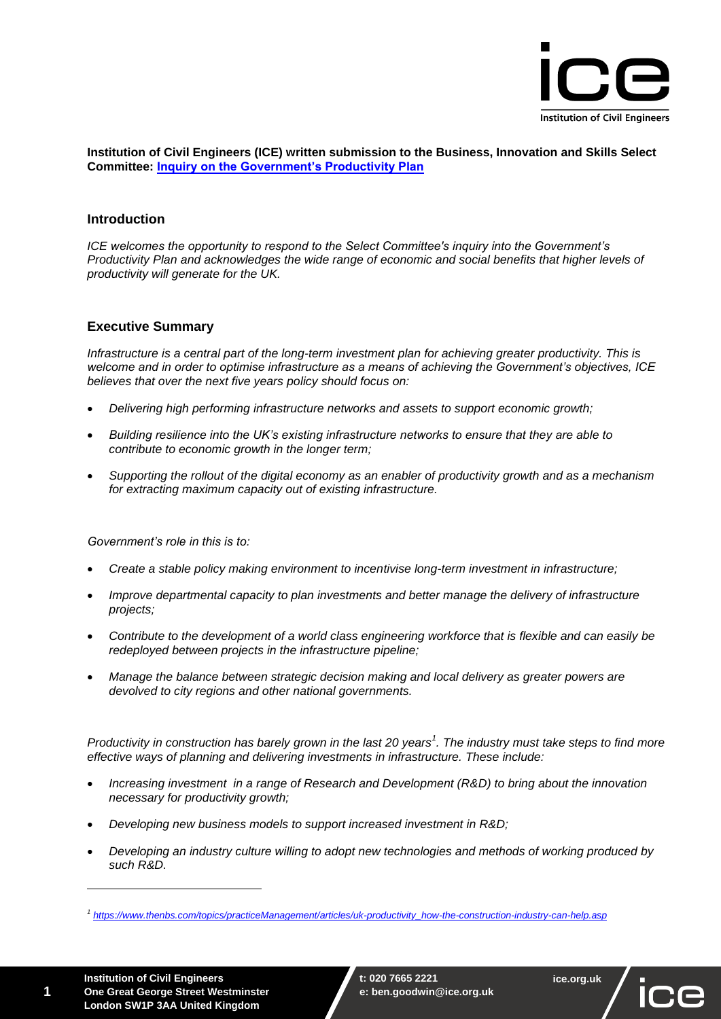

**Institution of Civil Engineers (ICE) written submission to the Business, Innovation and Skills Select Committee: [Inquiry on the Government's Productivity Plan](http://www.parliament.uk/business/committees/committees-a-z/commons-select/business-innovation-and-skills/inquiries/parliament-2015/productivity-plan/)**

# **Introduction**

*ICE welcomes the opportunity to respond to the Select Committee's inquiry into the Government's Productivity Plan and acknowledges the wide range of economic and social benefits that higher levels of productivity will generate for the UK.* 

# **Executive Summary**

*Infrastructure is a central part of the long-term investment plan for achieving greater productivity. This is welcome and in order to optimise infrastructure as a means of achieving the Government's objectives, ICE believes that over the next five years policy should focus on:*

- *Delivering high performing infrastructure networks and assets to support economic growth;*
- *Building resilience into the UK's existing infrastructure networks to ensure that they are able to contribute to economic growth in the longer term;*
- *Supporting the rollout of the digital economy as an enabler of productivity growth and as a mechanism for extracting maximum capacity out of existing infrastructure.*

*Government's role in this is to:*

- *Create a stable policy making environment to incentivise long-term investment in infrastructure;*
- *Improve departmental capacity to plan investments and better manage the delivery of infrastructure projects;*
- *Contribute to the development of a world class engineering workforce that is flexible and can easily be redeployed between projects in the infrastructure pipeline;*
- *Manage the balance between strategic decision making and local delivery as greater powers are devolved to city regions and other national governments.*

*Productivity in construction has barely grown in the last 20 years<sup>1</sup> . The industry must take steps to find more effective ways of planning and delivering investments in infrastructure. These include:*

- *Increasing investment in a range of Research and Development (R&D) to bring about the innovation necessary for productivity growth;*
- *Developing new business models to support increased investment in R&D;*
- *Developing an industry culture willing to adopt new technologies and methods of working produced by such R&D.*



*<sup>1</sup> [https://www.thenbs.com/topics/practiceManagement/articles/uk-productivity\\_how-the-construction-industry-can-help.asp](https://www.thenbs.com/topics/practiceManagement/articles/uk-productivity_how-the-construction-industry-can-help.asp)*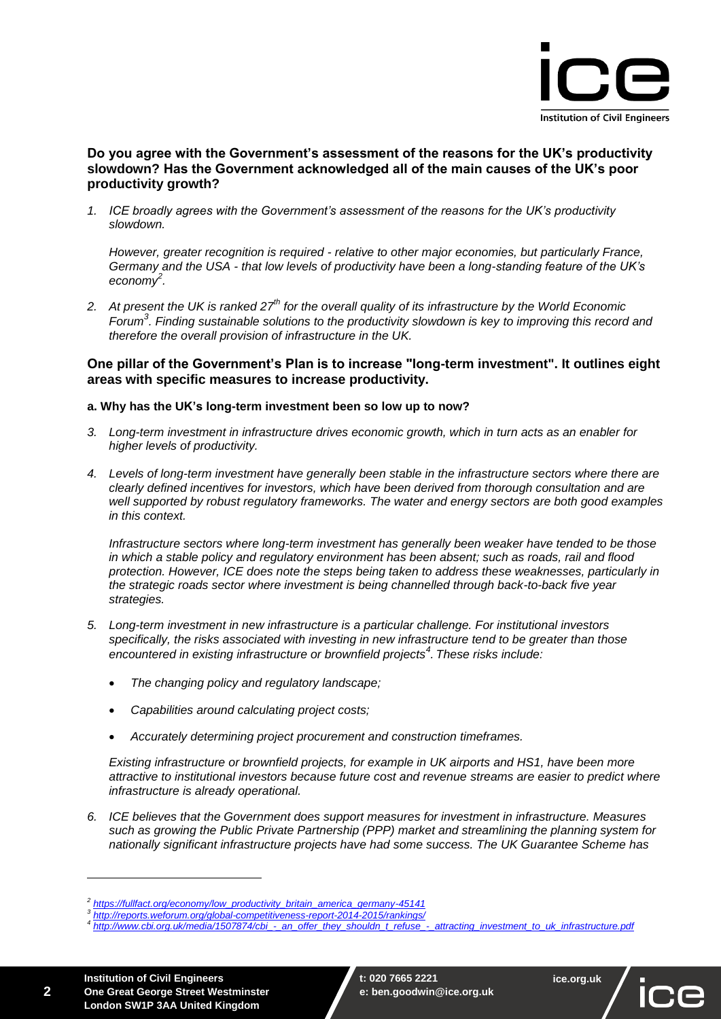

## **Do you agree with the Government's assessment of the reasons for the UK's productivity slowdown? Has the Government acknowledged all of the main causes of the UK's poor productivity growth?**

*1. ICE broadly agrees with the Government's assessment of the reasons for the UK's productivity slowdown.* 

*However, greater recognition is required - relative to other major economies, but particularly France, Germany and the USA - that low levels of productivity have been a long-standing feature of the UK's economy<sup>2</sup> .*

*2. At present the UK is ranked 27th for the overall quality of its infrastructure by the World Economic Forum<sup>3</sup> . Finding sustainable solutions to the productivity slowdown is key to improving this record and therefore the overall provision of infrastructure in the UK.*

## **One pillar of the Government's Plan is to increase "long-term investment". It outlines eight areas with specific measures to increase productivity.**

### **a. Why has the UK's long-term investment been so low up to now?**

- *3. Long-term investment in infrastructure drives economic growth, which in turn acts as an enabler for higher levels of productivity.*
- *4. Levels of long-term investment have generally been stable in the infrastructure sectors where there are clearly defined incentives for investors, which have been derived from thorough consultation and are well supported by robust regulatory frameworks. The water and energy sectors are both good examples in this context.*

*Infrastructure sectors where long-term investment has generally been weaker have tended to be those in which a stable policy and regulatory environment has been absent; such as roads, rail and flood protection. However, ICE does note the steps being taken to address these weaknesses, particularly in the strategic roads sector where investment is being channelled through back-to-back five year strategies.* 

- *5. Long-term investment in new infrastructure is a particular challenge. For institutional investors specifically, the risks associated with investing in new infrastructure tend to be greater than those encountered in existing infrastructure or brownfield projects<sup>4</sup> . These risks include:*
	- *The changing policy and regulatory landscape;*
	- *Capabilities around calculating project costs;*
	- *Accurately determining project procurement and construction timeframes.*

*Existing infrastructure or brownfield projects, for example in UK airports and HS1, have been more attractive to institutional investors because future cost and revenue streams are easier to predict where infrastructure is already operational.*

*6. ICE believes that the Government does support measures for investment in infrastructure. Measures such as growing the Public Private Partnership (PPP) market and streamlining the planning system for nationally significant infrastructure projects have had some success. The UK Guarantee Scheme has* 

**2**



*<sup>2</sup> [https://fullfact.org/economy/low\\_productivity\\_britain\\_america\\_germany-45141](https://fullfact.org/economy/low_productivity_britain_america_germany-45141)*

*<sup>3</sup> <http://reports.weforum.org/global-competitiveness-report-2014-2015/rankings/>*

*<sup>4</sup> [http://www.cbi.org.uk/media/1507874/cbi\\_-\\_an\\_offer\\_they\\_shouldn\\_t\\_refuse\\_-\\_attracting\\_investment\\_to\\_uk\\_infrastructure.pdf](http://www.cbi.org.uk/media/1507874/cbi_-_an_offer_they_shouldn_t_refuse_-_attracting_investment_to_uk_infrastructure.pdf)*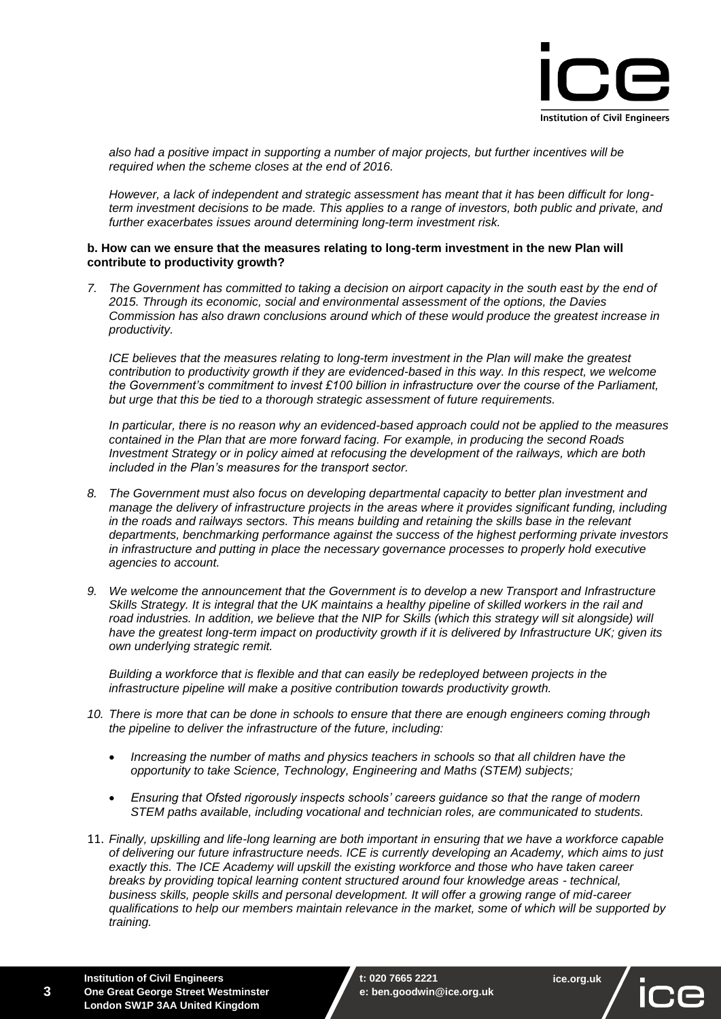

*also had a positive impact in supporting a number of major projects, but further incentives will be required when the scheme closes at the end of 2016.*

*However, a lack of independent and strategic assessment has meant that it has been difficult for longterm investment decisions to be made. This applies to a range of investors, both public and private, and further exacerbates issues around determining long-term investment risk.* 

#### **b. How can we ensure that the measures relating to long-term investment in the new Plan will contribute to productivity growth?**

*7. The Government has committed to taking a decision on airport capacity in the south east by the end of 2015. Through its economic, social and environmental assessment of the options, the Davies Commission has also drawn conclusions around which of these would produce the greatest increase in productivity.* 

*ICE believes that the measures relating to long-term investment in the Plan will make the greatest contribution to productivity growth if they are evidenced-based in this way. In this respect, we welcome the Government's commitment to invest £100 billion in infrastructure over the course of the Parliament, but urge that this be tied to a thorough strategic assessment of future requirements.* 

*In particular, there is no reason why an evidenced-based approach could not be applied to the measures contained in the Plan that are more forward facing. For example, in producing the second Roads Investment Strategy or in policy aimed at refocusing the development of the railways, which are both included in the Plan's measures for the transport sector.* 

- *8. The Government must also focus on developing departmental capacity to better plan investment and manage the delivery of infrastructure projects in the areas where it provides significant funding, including in the roads and railways sectors. This means building and retaining the skills base in the relevant departments, benchmarking performance against the success of the highest performing private investors in infrastructure and putting in place the necessary governance processes to properly hold executive agencies to account.*
- *9. We welcome the announcement that the Government is to develop a new Transport and Infrastructure Skills Strategy. It is integral that the UK maintains a healthy pipeline of skilled workers in the rail and*  road industries. In addition, we believe that the NIP for Skills (which this strategy will sit alongside) will have the greatest long-term impact on productivity growth if it is delivered by Infrastructure UK: given its *own underlying strategic remit.*

*Building a workforce that is flexible and that can easily be redeployed between projects in the infrastructure pipeline will make a positive contribution towards productivity growth.*

- *10. There is more that can be done in schools to ensure that there are enough engineers coming through the pipeline to deliver the infrastructure of the future, including:*
	- *Increasing the number of maths and physics teachers in schools so that all children have the opportunity to take Science, Technology, Engineering and Maths (STEM) subjects;*
	- *Ensuring that Ofsted rigorously inspects schools' careers guidance so that the range of modern STEM paths available, including vocational and technician roles, are communicated to students.*
- 11. *Finally, upskilling and life-long learning are both important in ensuring that we have a workforce capable of delivering our future infrastructure needs. ICE is currently developing an Academy, which aims to just exactly this. The ICE Academy will upskill the existing workforce and those who have taken career breaks by providing topical learning content structured around four knowledge areas - technical, business skills, people skills and personal development. It will offer a growing range of mid-career qualifications to help our members maintain relevance in the market, some of which will be supported by training.*

**3**

**ice.org.uk**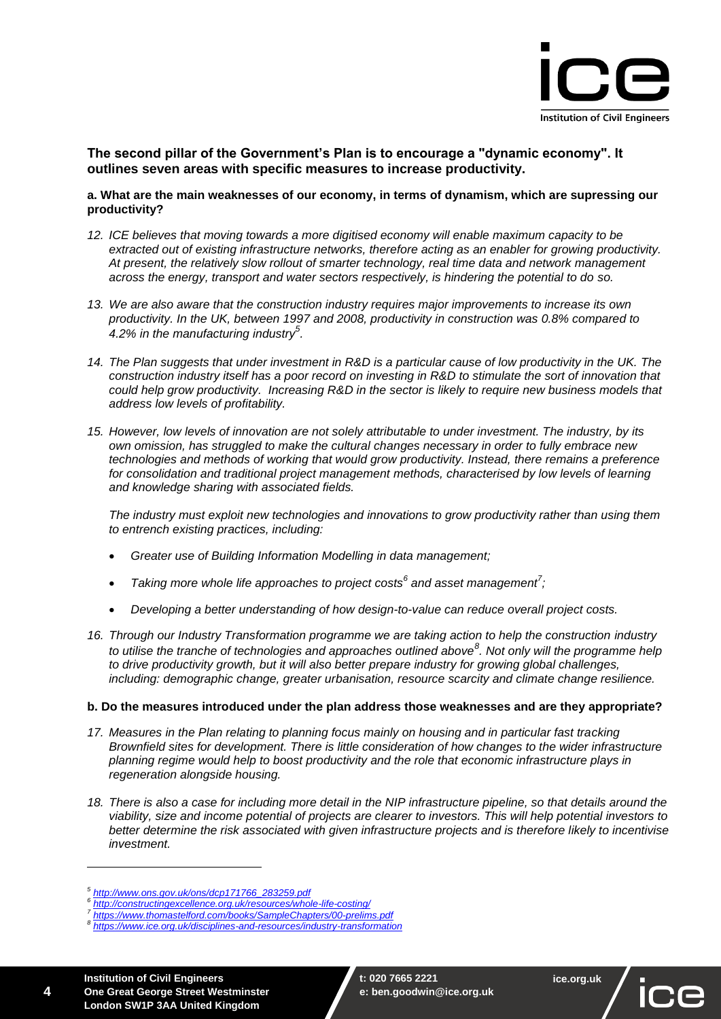

## **The second pillar of the Government's Plan is to encourage a "dynamic economy". It outlines seven areas with specific measures to increase productivity.**

#### **a. What are the main weaknesses of our economy, in terms of dynamism, which are supressing our productivity?**

- *12. ICE believes that moving towards a more digitised economy will enable maximum capacity to be extracted out of existing infrastructure networks, therefore acting as an enabler for growing productivity. At present, the relatively slow rollout of smarter technology, real time data and network management across the energy, transport and water sectors respectively, is hindering the potential to do so.*
- *13. We are also aware that the construction industry requires major improvements to increase its own productivity. In the UK, between 1997 and 2008, productivity in construction was 0.8% compared to 4.2% in the manufacturing industry<sup>5</sup> .*
- 14. The Plan suggests that under investment in R&D is a particular cause of low productivity in the UK. The *construction industry itself has a poor record on investing in R&D to stimulate the sort of innovation that could help grow productivity. Increasing R&D in the sector is likely to require new business models that address low levels of profitability.*
- *15. However, low levels of innovation are not solely attributable to under investment. The industry, by its own omission, has struggled to make the cultural changes necessary in order to fully embrace new technologies and methods of working that would grow productivity. Instead, there remains a preference for consolidation and traditional project management methods, characterised by low levels of learning and knowledge sharing with associated fields.*

*The industry must exploit new technologies and innovations to grow productivity rather than using them to entrench existing practices, including:*

- *Greater use of Building Information Modelling in data management;*
- *Taking more whole life approaches to project costs<sup>6</sup> and asset management<sup>7</sup> ;*
- *Developing a better understanding of how design-to-value can reduce overall project costs.*
- *16. Through our Industry Transformation programme we are taking action to help the construction industry to utilise the tranche of technologies and approaches outlined above<sup>8</sup> . Not only will the programme help to drive productivity growth, but it will also better prepare industry for growing global challenges, including: demographic change, greater urbanisation, resource scarcity and climate change resilience.*

#### **b. Do the measures introduced under the plan address those weaknesses and are they appropriate?**

- 17. Measures in the Plan relating to planning focus mainly on housing and in particular fast tracking *Brownfield sites for development. There is little consideration of how changes to the wider infrastructure planning regime would help to boost productivity and the role that economic infrastructure plays in regeneration alongside housing.*
- *18. There is also a case for including more detail in the NIP infrastructure pipeline, so that details around the viability, size and income potential of projects are clearer to investors. This will help potential investors to better determine the risk associated with given infrastructure projects and is therefore likely to incentivise investment.*

*<sup>5</sup> [http://www.ons.gov.uk/ons/dcp171766\\_283259.pdf](http://www.ons.gov.uk/ons/dcp171766_283259.pdf)*

*<sup>6</sup> <http://constructingexcellence.org.uk/resources/whole-life-costing/>*

*<sup>7</sup> <https://www.thomastelford.com/books/SampleChapters/00-prelims.pdf>*

*<sup>8</sup> <https://www.ice.org.uk/disciplines-and-resources/industry-transformation>*